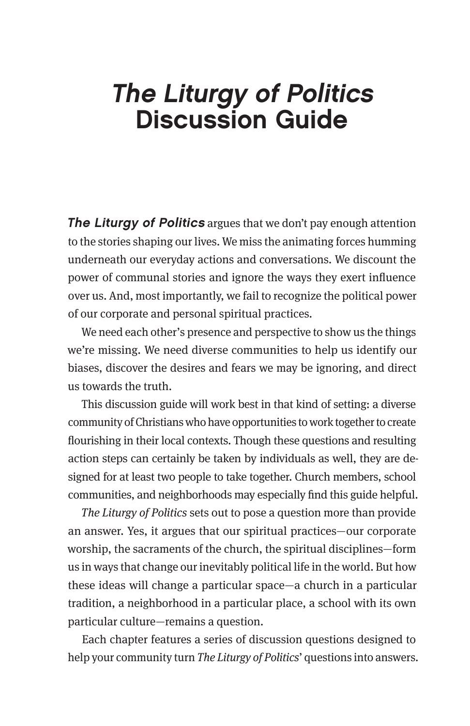# The Liturgy of Politics Discussion Guide

**The Liturgy of Politics** argues that we don't pay enough attention to the stories shaping our lives. We miss the animating forces humming underneath our everyday actions and conversations. We discount the power of communal stories and ignore the ways they exert influence over us. And, most importantly, we fail to recognize the political power of our corporate and personal spiritual practices.

We need each other's presence and perspective to show us the things we're missing. We need diverse communities to help us identify our biases, discover the desires and fears we may be ignoring, and direct us towards the truth.

This discussion guide will work best in that kind of setting: a diverse community of Christians who have opportunities to work together to create flourishing in their local contexts. Though these questions and resulting action steps can certainly be taken by individuals as well, they are designed for at least two people to take together. Church members, school communities, and neighborhoods may especially find this guide helpful.

*The Liturgy of Politics* sets out to pose a question more than provide an answer. Yes, it argues that our spiritual practices—our corporate worship, the sacraments of the church, the spiritual disciplines—form us in ways that change our inevitably political life in the world. But how these ideas will change a particular space—a church in a particular tradition, a neighborhood in a particular place, a school with its own particular culture—remains a question.

Each chapter features a series of discussion questions designed to help your community turn *The Liturgy of Politics*' questions into answers.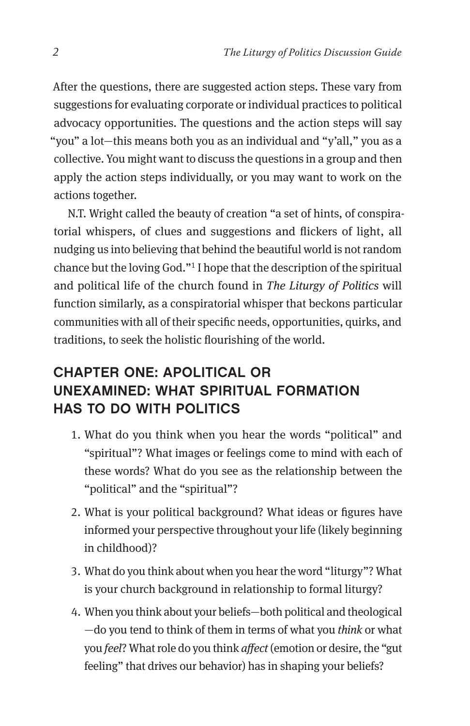After the questions, there are suggested action steps. These vary from suggestions for evaluating corporate or individual practices to political advocacy opportunities. The questions and the action steps will say "you" a lot—this means both you as an individual and "y'all," you as a collective. You might want to discuss the questions in a group and then apply the action steps individually, or you may want to work on the actions together.

N.T. Wright called the beauty of creation "a set of hints, of conspiratorial whispers, of clues and suggestions and flickers of light, all nudging us into believing that behind the beautiful world is not random chance but the loving God."1 I hope that the description of the spiritual and political life of the church found in *The Liturgy of Politics* will function similarly, as a conspiratorial whisper that beckons particular communities with all of their specific needs, opportunities, quirks, and traditions, to seek the holistic flourishing of the world.

# CHAPTER ONE: APOLITICAL OR UNEXAMINED: WHAT SPIRITUAL FORMATION HAS TO DO WITH POLITICS

- 1. What do you think when you hear the words "political" and "spiritual"? What images or feelings come to mind with each of these words? What do you see as the relationship between the "political" and the "spiritual"?
- 2. What is your political background? What ideas or figures have informed your perspective throughout your life (likely beginning in childhood)?
- 3. What do you think about when you hear the word "liturgy"? What is your church background in relationship to formal liturgy?
- 4. When you think about your beliefs—both political and theological —do you tend to think of them in terms of what you *think* or what you *feel*? What role do you think *affect* (emotion or desire, the "gut feeling" that drives our behavior) has in shaping your beliefs?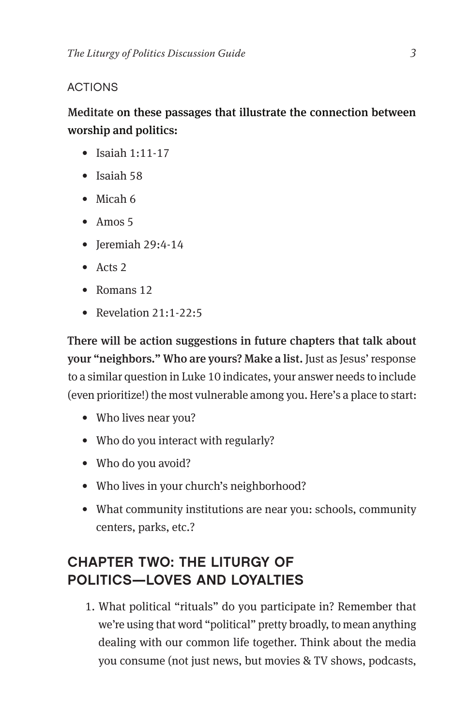### ACTIONS

## Meditate on these passages that illustrate the connection between worship and politics:

- Isaiah 1:11-17
- Isaiah 58
- Micah 6
- Amos 5
- Jeremiah 29:4-14
- Acts 2
- Romans 12
- Revelation  $21:1-22:5$

There will be action suggestions in future chapters that talk about your "neighbors." Who are yours? Make a list. Just as Jesus' response to a similar question in Luke 10 indicates, your answer needs to include (even prioritize!) the most vulnerable among you. Here's a place to start:

- Who lives near you?
- Who do you interact with regularly?
- Who do you avoid?
- Who lives in your church's neighborhood?
- What community institutions are near you: schools, community centers, parks, etc.?

# CHAPTER TWO: THE LITURGY OF POLITICS—LOVES AND LOYALTIES

1. What political "rituals" do you participate in? Remember that we're using that word "political" pretty broadly, to mean anything dealing with our common life together. Think about the media you consume (not just news, but movies & TV shows, podcasts,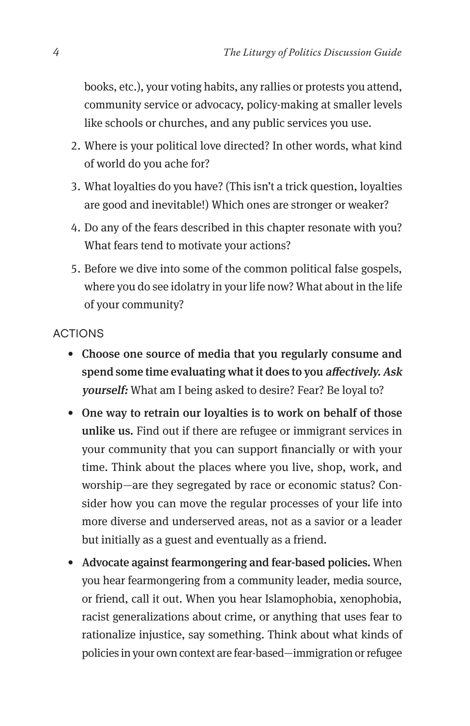books, etc.), your voting habits, any rallies or protests you attend, community service or advocacy, policy-making at smaller levels like schools or churches, and any public services you use.

- 2. Where is your political love directed? In other words, what kind of world do you ache for?
- 3. What loyalties do you have? (This isn't a trick question, loyalties are good and inevitable!) Which ones are stronger or weaker?
- 4. Do any of the fears described in this chapter resonate with you? What fears tend to motivate your actions?
- 5. Before we dive into some of the common political false gospels, where you do see idolatry in your life now? What about in the life of your community?

#### ACTIONS

- Choose one source of media that you regularly consume and spend some time evaluating what it does to you affectively. Ask yourself: What am I being asked to desire? Fear? Be loyal to?
- One way to retrain our loyalties is to work on behalf of those unlike us. Find out if there are refugee or immigrant services in your community that you can support financially or with your time. Think about the places where you live, shop, work, and worship—are they segregated by race or economic status? Consider how you can move the regular processes of your life into more diverse and underserved areas, not as a savior or a leader but initially as a guest and eventually as a friend.
- Advocate against fearmongering and fear-based policies. When you hear fearmongering from a community leader, media source, or friend, call it out. When you hear Islamophobia, xenophobia, racist generalizations about crime, or anything that uses fear to rationalize injustice, say something. Think about what kinds of policies in your own context are fear-based—immigration or refugee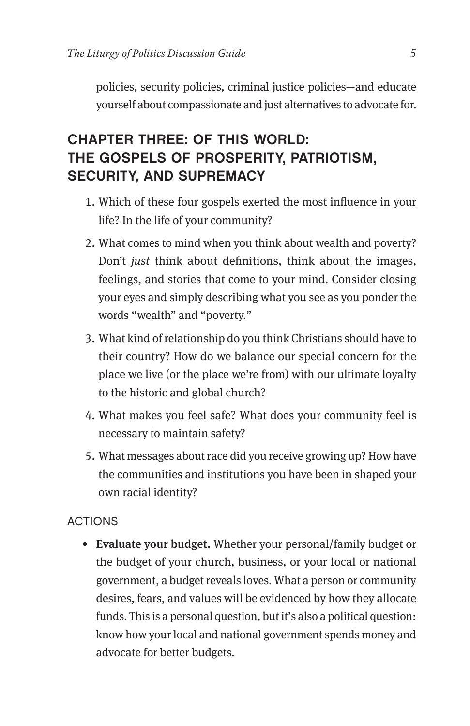policies, security policies, criminal justice policies—and educate yourself about compassionate and just alternatives to advocate for.

# CHAPTER THREE: OF THIS WORLD: THE GOSPELS OF PROSPERITY, PATRIOTISM, SECURITY, AND SUPREMACY

- 1. Which of these four gospels exerted the most influence in your life? In the life of your community?
- 2. What comes to mind when you think about wealth and poverty? Don't *just* think about definitions, think about the images, feelings, and stories that come to your mind. Consider closing your eyes and simply describing what you see as you ponder the words "wealth" and "poverty."
- 3. What kind of relationship do you think Christians should have to their country? How do we balance our special concern for the place we live (or the place we're from) with our ultimate loyalty to the historic and global church?
- 4. What makes you feel safe? What does your community feel is necessary to maintain safety?
- 5. What messages about race did you receive growing up? How have the communities and institutions you have been in shaped your own racial identity?

### ACTIONS

• Evaluate your budget. Whether your personal/family budget or the budget of your church, business, or your local or national government, a budget reveals loves. What a person or community desires, fears, and values will be evidenced by how they allocate funds. This is a personal question, but it's also a political question: know how your local and national government spends money and advocate for better budgets.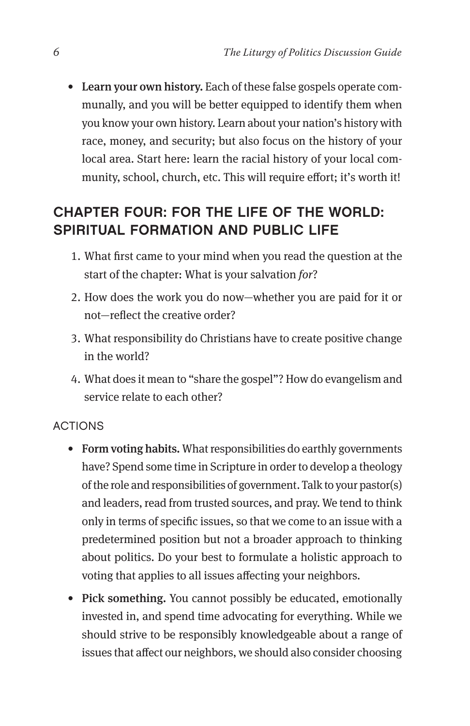• Learn your own history. Each of these false gospels operate communally, and you will be better equipped to identify them when you know your own history. Learn about your nation's history with race, money, and security; but also focus on the history of your local area. Start here: learn the racial history of your local community, school, church, etc. This will require effort; it's worth it!

# CHAPTER FOUR: FOR THE LIFE OF THE WORLD: SPIRITUAL FORMATION AND PUBLIC LIFE

- 1. What first came to your mind when you read the question at the start of the chapter: What is your salvation *for*?
- 2. How does the work you do now—whether you are paid for it or not—reflect the creative order?
- 3. What responsibility do Christians have to create positive change in the world?
- 4. What does it mean to "share the gospel"? How do evangelism and service relate to each other?

#### ACTIONS

- Form voting habits. What responsibilities do earthly governments have? Spend some time in Scripture in order to develop a theology of the role and responsibilities of government. Talk to your pastor(s) and leaders, read from trusted sources, and pray. We tend to think only in terms of specific issues, so that we come to an issue with a predetermined position but not a broader approach to thinking about politics. Do your best to formulate a holistic approach to voting that applies to all issues affecting your neighbors.
- Pick something. You cannot possibly be educated, emotionally invested in, and spend time advocating for everything. While we should strive to be responsibly knowledgeable about a range of issues that affect our neighbors, we should also consider choosing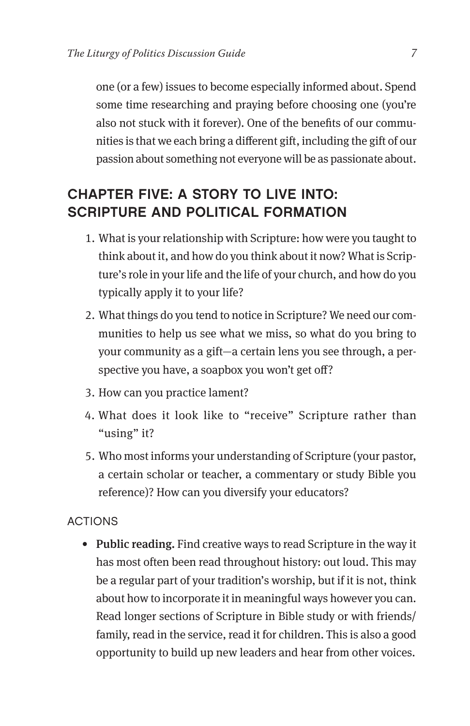one (or a few) issues to become especially informed about. Spend some time researching and praying before choosing one (you're also not stuck with it forever). One of the benefits of our communities is that we each bring a different gift, including the gift of our passion about something not everyone will be as passionate about.

## CHAPTER FIVE: A STORY TO LIVE INTO: SCRIPTURE AND POLITICAL FORMATION

- 1. What is your relationship with Scripture: how were you taught to think about it, and how do you think about it now? What is Scripture's role in your life and the life of your church, and how do you typically apply it to your life?
- 2. What things do you tend to notice in Scripture? We need our communities to help us see what we miss, so what do you bring to your community as a gift—a certain lens you see through, a perspective you have, a soapbox you won't get off?
- 3. How can you practice lament?
- 4. What does it look like to "receive" Scripture rather than "using" it?
- 5. Who most informs your understanding of Scripture (your pastor, a certain scholar or teacher, a commentary or study Bible you reference)? How can you diversify your educators?

#### **ACTIONS**

• Public reading. Find creative ways to read Scripture in the way it has most often been read throughout history: out loud. This may be a regular part of your tradition's worship, but if it is not, think about how to incorporate it in meaningful ways however you can. Read longer sections of Scripture in Bible study or with friends/ family, read in the service, read it for children. This is also a good opportunity to build up new leaders and hear from other voices.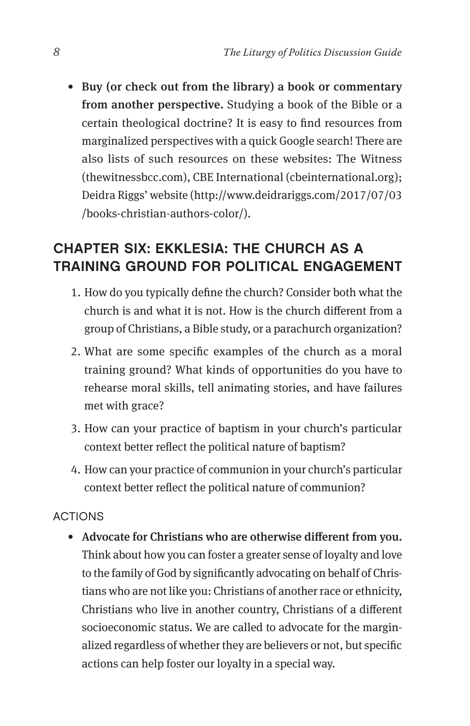• Buy (or check out from the library) a book or commentary from another perspective. Studying a book of the Bible or a certain theological doctrine? It is easy to find resources from marginalized perspectives with a quick Google search! There are also lists of such resources on these websites: The Witness (thewitnessbcc.com), CBE International (cbeinternational.org); Deidra Riggs' website (http://www.deidrariggs.com/2017/07/03 /books-christian-authors-color/).

## CHAPTER SIX: EKKLESIA: THE CHURCH AS A TRAINING GROUND FOR POLITICAL ENGAGEMENT

- 1. How do you typically define the church? Consider both what the church is and what it is not. How is the church different from a group of Christians, a Bible study, or a parachurch organization?
- 2. What are some specific examples of the church as a moral training ground? What kinds of opportunities do you have to rehearse moral skills, tell animating stories, and have failures met with grace?
- 3. How can your practice of baptism in your church's particular context better reflect the political nature of baptism?
- 4. How can your practice of communion in your church's particular context better reflect the political nature of communion?

#### ACTIONS

• Advocate for Christians who are otherwise different from you. Think about how you can foster a greater sense of loyalty and love to the family of God by significantly advocating on behalf of Christians who are not like you: Christians of another race or ethnicity, Christians who live in another country, Christians of a different socioeconomic status. We are called to advocate for the marginalized regardless of whether they are believers or not, but specific actions can help foster our loyalty in a special way.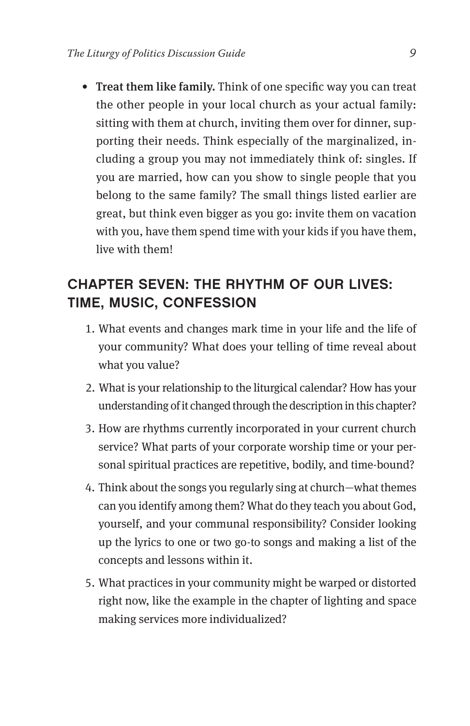• Treat them like family. Think of one specific way you can treat the other people in your local church as your actual family: sitting with them at church, inviting them over for dinner, supporting their needs. Think especially of the marginalized, including a group you may not immediately think of: singles. If you are married, how can you show to single people that you belong to the same family? The small things listed earlier are great, but think even bigger as you go: invite them on vacation with you, have them spend time with your kids if you have them, live with them!

## CHAPTER SEVEN: THE RHYTHM OF OUR LIVES: TIME, MUSIC, CONFESSION

- 1. What events and changes mark time in your life and the life of your community? What does your telling of time reveal about what you value?
- 2. What is your relationship to the liturgical calendar? How has your understanding of it changed through the description in this chapter?
- 3. How are rhythms currently incorporated in your current church service? What parts of your corporate worship time or your personal spiritual practices are repetitive, bodily, and time-bound?
- 4. Think about the songs you regularly sing at church—what themes can you identify among them? What do they teach you about God, yourself, and your communal responsibility? Consider looking up the lyrics to one or two go-to songs and making a list of the concepts and lessons within it.
- 5. What practices in your community might be warped or distorted right now, like the example in the chapter of lighting and space making services more individualized?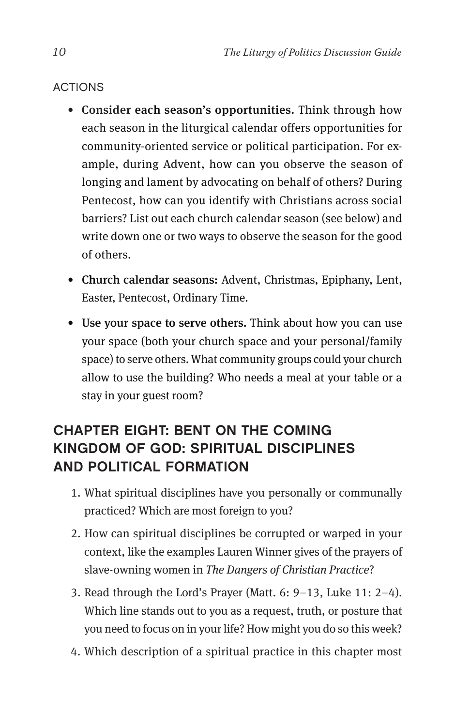## **ACTIONS**

- Consider each season's opportunities. Think through how each season in the liturgical calendar offers opportunities for community-oriented service or political participation. For example, during Advent, how can you observe the season of longing and lament by advocating on behalf of others? During Pentecost, how can you identify with Christians across social barriers? List out each church calendar season (see below) and write down one or two ways to observe the season for the good of others.
- Church calendar seasons: Advent, Christmas, Epiphany, Lent, Easter, Pentecost, Ordinary Time.
- Use your space to serve others. Think about how you can use your space (both your church space and your personal/family space) to serve others. What community groups could your church allow to use the building? Who needs a meal at your table or a stay in your guest room?

# CHAPTER EIGHT: BENT ON THE COMING KINGDOM OF GOD: SPIRITUAL DISCIPLINES AND POLITICAL FORMATION

- 1. What spiritual disciplines have you personally or communally practiced? Which are most foreign to you?
- 2. How can spiritual disciplines be corrupted or warped in your context, like the examples Lauren Winner gives of the prayers of slave-owning women in *The Dangers of Christian Practice*?
- 3. Read through the Lord's Prayer (Matt. 6: 9–13, Luke 11: 2–4). Which line stands out to you as a request, truth, or posture that you need to focus on in your life? How might you do so this week?
- 4. Which description of a spiritual practice in this chapter most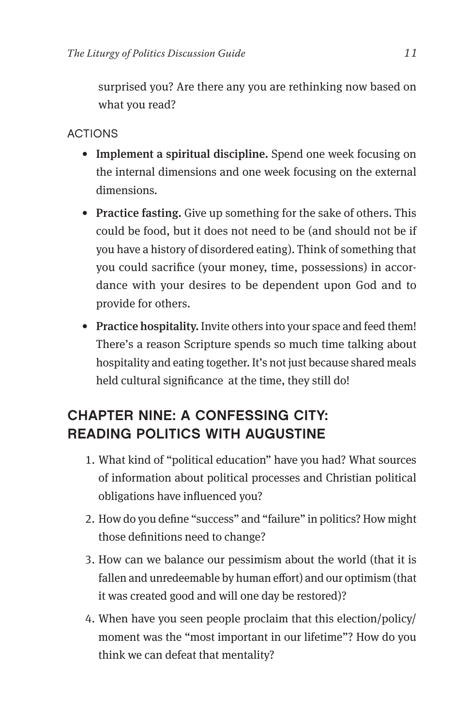surprised you? Are there any you are rethinking now based on what you read?

## ACTIONS

- Implement a spiritual discipline. Spend one week focusing on the internal dimensions and one week focusing on the external dimensions.
- Practice fasting. Give up something for the sake of others. This could be food, but it does not need to be (and should not be if you have a history of disordered eating). Think of something that you could sacrifice (your money, time, possessions) in accordance with your desires to be dependent upon God and to provide for others.
- Practice hospitality. Invite others into your space and feed them! There's a reason Scripture spends so much time talking about hospitality and eating together. It's not just because shared meals held cultural significance at the time, they still do!

# CHAPTER NINE: A CONFESSING CITY: READING POLITICS WITH AUGUSTINE

- 1. What kind of "political education" have you had? What sources of information about political processes and Christian political obligations have influenced you?
- 2. How do you define "success" and "failure" in politics? How might those definitions need to change?
- 3. How can we balance our pessimism about the world (that it is fallen and unredeemable by human effort) and our optimism (that it was created good and will one day be restored)?
- 4. When have you seen people proclaim that this election/policy/ moment was the "most important in our lifetime"? How do you think we can defeat that mentality?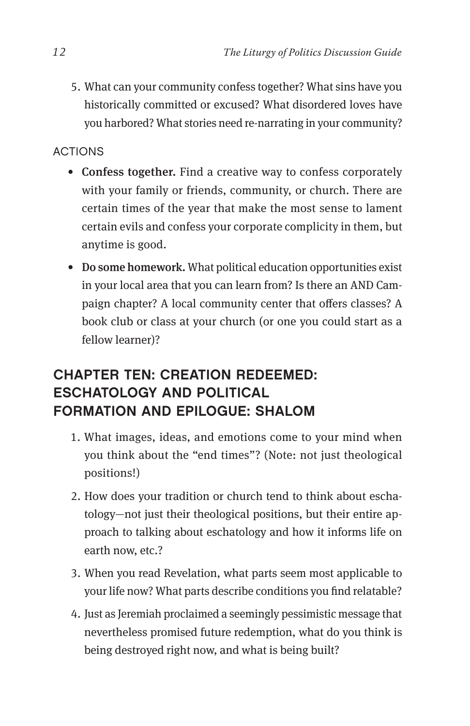5. What can your community confess together? What sins have you historically committed or excused? What disordered loves have you harbored? What stories need re-narrating in your community?

## ACTIONS

- Confess together. Find a creative way to confess corporately with your family or friends, community, or church. There are certain times of the year that make the most sense to lament certain evils and confess your corporate complicity in them, but anytime is good.
- Do some homework. What political education opportunities exist in your local area that you can learn from? Is there an AND Campaign chapter? A local community center that offers classes? A book club or class at your church (or one you could start as a fellow learner)?

# CHAPTER TEN: CREATION REDEEMED: ESCHATOLOGY AND POLITICAL FORMATION AND EPILOGUE: SHALOM

- 1. What images, ideas, and emotions come to your mind when you think about the "end times"? (Note: not just theological positions!)
- 2. How does your tradition or church tend to think about eschatology—not just their theological positions, but their entire approach to talking about eschatology and how it informs life on earth now, etc.?
- 3. When you read Revelation, what parts seem most applicable to your life now? What parts describe conditions you find relatable?
- 4. Just as Jeremiah proclaimed a seemingly pessimistic message that nevertheless promised future redemption, what do you think is being destroyed right now, and what is being built?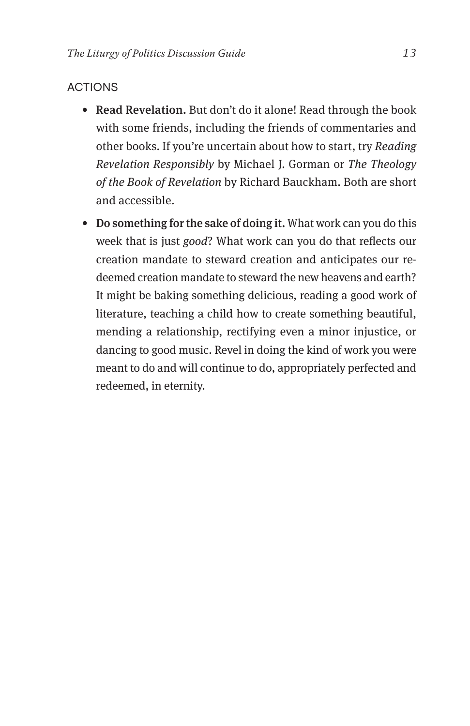#### ACTIONS

- Read Revelation. But don't do it alone! Read through the book with some friends, including the friends of commentaries and other books. If you're uncertain about how to start, try *Reading Revelation Responsibly* by Michael J. Gorman or *The Theology of the Book of Revelation* by Richard Bauckham. Both are short and accessible.
- Do something for the sake of doing it. What work can you do this week that is just *good*? What work can you do that reflects our creation mandate to steward creation and anticipates our redeemed creation mandate to steward the new heavens and earth? It might be baking something delicious, reading a good work of literature, teaching a child how to create something beautiful, mending a relationship, rectifying even a minor injustice, or dancing to good music. Revel in doing the kind of work you were meant to do and will continue to do, appropriately perfected and redeemed, in eternity.